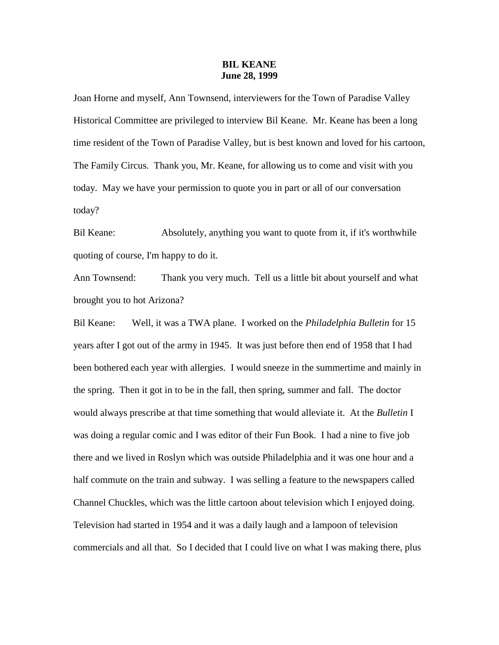## **BIL KEANE June 28, 1999**

Joan Horne and myself, Ann Townsend, interviewers for the Town of Paradise Valley Historical Committee are privileged to interview Bil Keane. Mr. Keane has been a long time resident of the Town of Paradise Valley, but is best known and loved for his cartoon, The Family Circus. Thank you, Mr. Keane, for allowing us to come and visit with you today. May we have your permission to quote you in part or all of our conversation today?

Bil Keane: Absolutely, anything you want to quote from it, if it's worthwhile quoting of course, I'm happy to do it.

Ann Townsend: Thank you very much. Tell us a little bit about yourself and what brought you to hot Arizona?

Bil Keane: Well, it was a TWA plane. I worked on the *Philadelphia Bulletin* for 15 years after I got out of the army in 1945. It was just before then end of 1958 that I had been bothered each year with allergies. I would sneeze in the summertime and mainly in the spring. Then it got in to be in the fall, then spring, summer and fall. The doctor would always prescribe at that time something that would alleviate it. At the *Bulletin* I was doing a regular comic and I was editor of their Fun Book. I had a nine to five job there and we lived in Roslyn which was outside Philadelphia and it was one hour and a half commute on the train and subway. I was selling a feature to the newspapers called Channel Chuckles, which was the little cartoon about television which I enjoyed doing. Television had started in 1954 and it was a daily laugh and a lampoon of television commercials and all that. So I decided that I could live on what I was making there, plus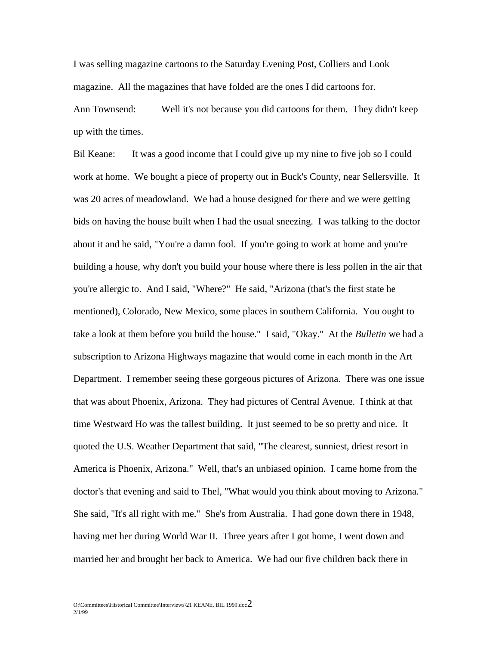I was selling magazine cartoons to the Saturday Evening Post, Colliers and Look magazine. All the magazines that have folded are the ones I did cartoons for.

Ann Townsend: Well it's not because you did cartoons for them. They didn't keep up with the times.

Bil Keane: It was a good income that I could give up my nine to five job so I could work at home. We bought a piece of property out in Buck's County, near Sellersville. It was 20 acres of meadowland. We had a house designed for there and we were getting bids on having the house built when I had the usual sneezing. I was talking to the doctor about it and he said, "You're a damn fool. If you're going to work at home and you're building a house, why don't you build your house where there is less pollen in the air that you're allergic to. And I said, "Where?" He said, "Arizona (that's the first state he mentioned), Colorado, New Mexico, some places in southern California. You ought to take a look at them before you build the house." I said, "Okay." At the *Bulletin* we had a subscription to Arizona Highways magazine that would come in each month in the Art Department. I remember seeing these gorgeous pictures of Arizona. There was one issue that was about Phoenix, Arizona. They had pictures of Central Avenue. I think at that time Westward Ho was the tallest building. It just seemed to be so pretty and nice. It quoted the U.S. Weather Department that said, "The clearest, sunniest, driest resort in America is Phoenix, Arizona." Well, that's an unbiased opinion. I came home from the doctor's that evening and said to Thel, "What would you think about moving to Arizona." She said, "It's all right with me." She's from Australia. I had gone down there in 1948, having met her during World War II. Three years after I got home, I went down and married her and brought her back to America. We had our five children back there in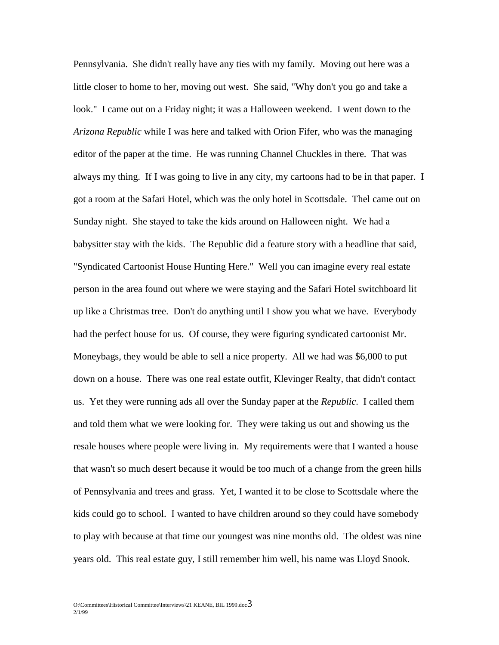Pennsylvania. She didn't really have any ties with my family. Moving out here was a little closer to home to her, moving out west. She said, "Why don't you go and take a look." I came out on a Friday night; it was a Halloween weekend. I went down to the *Arizona Republic* while I was here and talked with Orion Fifer, who was the managing editor of the paper at the time. He was running Channel Chuckles in there. That was always my thing. If I was going to live in any city, my cartoons had to be in that paper. I got a room at the Safari Hotel, which was the only hotel in Scottsdale. Thel came out on Sunday night. She stayed to take the kids around on Halloween night. We had a babysitter stay with the kids. The Republic did a feature story with a headline that said, "Syndicated Cartoonist House Hunting Here." Well you can imagine every real estate person in the area found out where we were staying and the Safari Hotel switchboard lit up like a Christmas tree. Don't do anything until I show you what we have. Everybody had the perfect house for us. Of course, they were figuring syndicated cartoonist Mr. Moneybags, they would be able to sell a nice property. All we had was \$6,000 to put down on a house. There was one real estate outfit, Klevinger Realty, that didn't contact us. Yet they were running ads all over the Sunday paper at the *Republic*. I called them and told them what we were looking for. They were taking us out and showing us the resale houses where people were living in. My requirements were that I wanted a house that wasn't so much desert because it would be too much of a change from the green hills of Pennsylvania and trees and grass. Yet, I wanted it to be close to Scottsdale where the kids could go to school. I wanted to have children around so they could have somebody to play with because at that time our youngest was nine months old. The oldest was nine years old. This real estate guy, I still remember him well, his name was Lloyd Snook.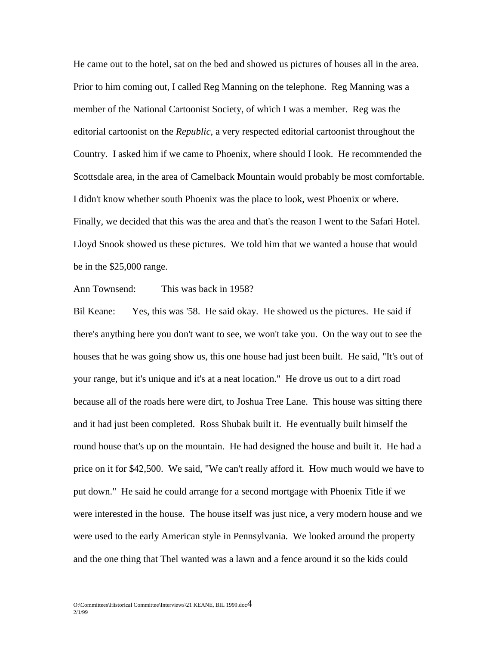He came out to the hotel, sat on the bed and showed us pictures of houses all in the area. Prior to him coming out, I called Reg Manning on the telephone. Reg Manning was a member of the National Cartoonist Society, of which I was a member. Reg was the editorial cartoonist on the *Republic*, a very respected editorial cartoonist throughout the Country. I asked him if we came to Phoenix, where should I look. He recommended the Scottsdale area, in the area of Camelback Mountain would probably be most comfortable. I didn't know whether south Phoenix was the place to look, west Phoenix or where. Finally, we decided that this was the area and that's the reason I went to the Safari Hotel. Lloyd Snook showed us these pictures. We told him that we wanted a house that would be in the \$25,000 range.

Ann Townsend: This was back in 1958?

Bil Keane: Yes, this was '58. He said okay. He showed us the pictures. He said if there's anything here you don't want to see, we won't take you. On the way out to see the houses that he was going show us, this one house had just been built. He said, "It's out of your range, but it's unique and it's at a neat location." He drove us out to a dirt road because all of the roads here were dirt, to Joshua Tree Lane. This house was sitting there and it had just been completed. Ross Shubak built it. He eventually built himself the round house that's up on the mountain. He had designed the house and built it. He had a price on it for \$42,500. We said, "We can't really afford it. How much would we have to put down." He said he could arrange for a second mortgage with Phoenix Title if we were interested in the house. The house itself was just nice, a very modern house and we were used to the early American style in Pennsylvania. We looked around the property and the one thing that Thel wanted was a lawn and a fence around it so the kids could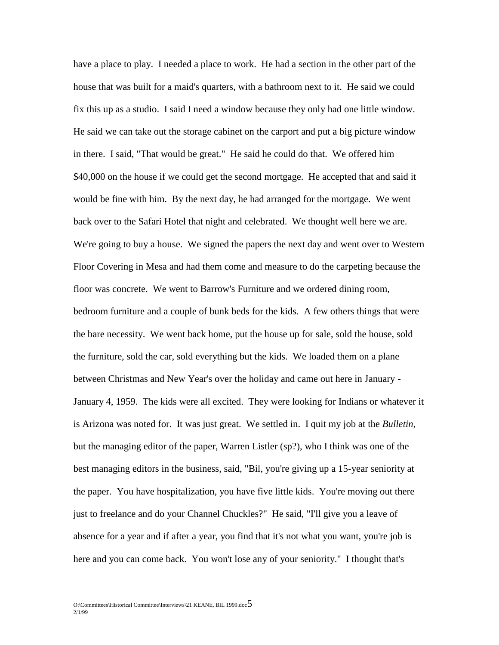have a place to play. I needed a place to work. He had a section in the other part of the house that was built for a maid's quarters, with a bathroom next to it. He said we could fix this up as a studio. I said I need a window because they only had one little window. He said we can take out the storage cabinet on the carport and put a big picture window in there. I said, "That would be great." He said he could do that. We offered him \$40,000 on the house if we could get the second mortgage. He accepted that and said it would be fine with him. By the next day, he had arranged for the mortgage. We went back over to the Safari Hotel that night and celebrated. We thought well here we are. We're going to buy a house. We signed the papers the next day and went over to Western Floor Covering in Mesa and had them come and measure to do the carpeting because the floor was concrete. We went to Barrow's Furniture and we ordered dining room, bedroom furniture and a couple of bunk beds for the kids. A few others things that were the bare necessity. We went back home, put the house up for sale, sold the house, sold the furniture, sold the car, sold everything but the kids. We loaded them on a plane between Christmas and New Year's over the holiday and came out here in January - January 4, 1959. The kids were all excited. They were looking for Indians or whatever it is Arizona was noted for. It was just great. We settled in. I quit my job at the *Bulletin*, but the managing editor of the paper, Warren Listler (sp?), who I think was one of the best managing editors in the business, said, "Bil, you're giving up a 15-year seniority at the paper. You have hospitalization, you have five little kids. You're moving out there just to freelance and do your Channel Chuckles?" He said, "I'll give you a leave of absence for a year and if after a year, you find that it's not what you want, you're job is here and you can come back. You won't lose any of your seniority." I thought that's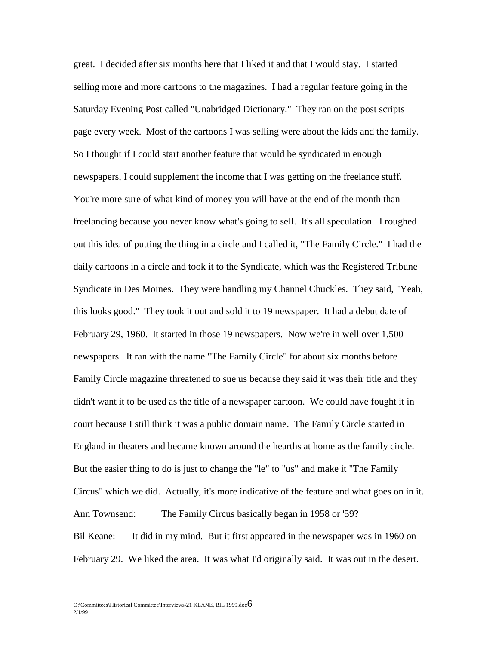great. I decided after six months here that I liked it and that I would stay. I started selling more and more cartoons to the magazines. I had a regular feature going in the Saturday Evening Post called "Unabridged Dictionary." They ran on the post scripts page every week. Most of the cartoons I was selling were about the kids and the family. So I thought if I could start another feature that would be syndicated in enough newspapers, I could supplement the income that I was getting on the freelance stuff. You're more sure of what kind of money you will have at the end of the month than freelancing because you never know what's going to sell. It's all speculation. I roughed out this idea of putting the thing in a circle and I called it, "The Family Circle." I had the daily cartoons in a circle and took it to the Syndicate, which was the Registered Tribune Syndicate in Des Moines. They were handling my Channel Chuckles. They said, "Yeah, this looks good." They took it out and sold it to 19 newspaper. It had a debut date of February 29, 1960. It started in those 19 newspapers. Now we're in well over 1,500 newspapers. It ran with the name "The Family Circle" for about six months before Family Circle magazine threatened to sue us because they said it was their title and they didn't want it to be used as the title of a newspaper cartoon. We could have fought it in court because I still think it was a public domain name. The Family Circle started in England in theaters and became known around the hearths at home as the family circle. But the easier thing to do is just to change the "le" to "us" and make it "The Family Circus" which we did. Actually, it's more indicative of the feature and what goes on in it. Ann Townsend: The Family Circus basically began in 1958 or '59? Bil Keane: It did in my mind. But it first appeared in the newspaper was in 1960 on February 29. We liked the area. It was what I'd originally said. It was out in the desert.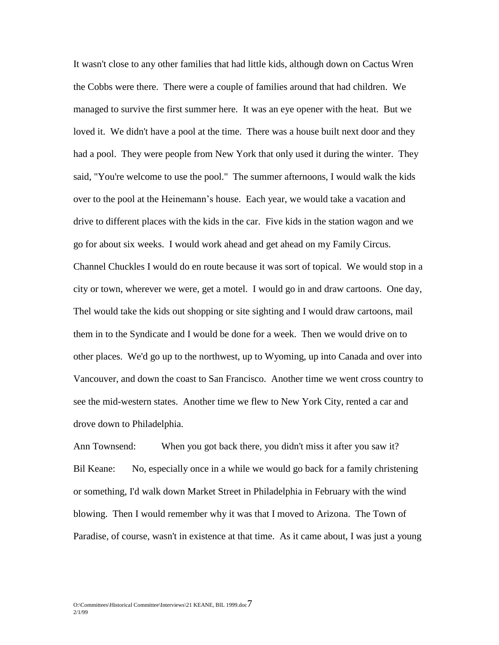It wasn't close to any other families that had little kids, although down on Cactus Wren the Cobbs were there. There were a couple of families around that had children. We managed to survive the first summer here. It was an eye opener with the heat. But we loved it. We didn't have a pool at the time. There was a house built next door and they had a pool. They were people from New York that only used it during the winter. They said, "You're welcome to use the pool." The summer afternoons, I would walk the kids over to the pool at the Heinemann's house. Each year, we would take a vacation and drive to different places with the kids in the car. Five kids in the station wagon and we go for about six weeks. I would work ahead and get ahead on my Family Circus. Channel Chuckles I would do en route because it was sort of topical. We would stop in a city or town, wherever we were, get a motel. I would go in and draw cartoons. One day, Thel would take the kids out shopping or site sighting and I would draw cartoons, mail them in to the Syndicate and I would be done for a week. Then we would drive on to other places. We'd go up to the northwest, up to Wyoming, up into Canada and over into Vancouver, and down the coast to San Francisco. Another time we went cross country to see the mid-western states. Another time we flew to New York City, rented a car and drove down to Philadelphia.

Ann Townsend: When you got back there, you didn't miss it after you saw it? Bil Keane: No, especially once in a while we would go back for a family christening or something, I'd walk down Market Street in Philadelphia in February with the wind blowing. Then I would remember why it was that I moved to Arizona. The Town of Paradise, of course, wasn't in existence at that time. As it came about, I was just a young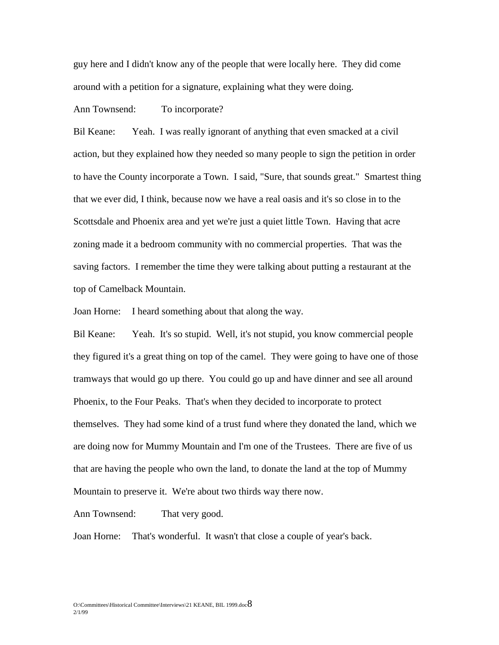guy here and I didn't know any of the people that were locally here. They did come around with a petition for a signature, explaining what they were doing.

## Ann Townsend: To incorporate?

Bil Keane: Yeah. I was really ignorant of anything that even smacked at a civil action, but they explained how they needed so many people to sign the petition in order to have the County incorporate a Town. I said, "Sure, that sounds great." Smartest thing that we ever did, I think, because now we have a real oasis and it's so close in to the Scottsdale and Phoenix area and yet we're just a quiet little Town. Having that acre zoning made it a bedroom community with no commercial properties. That was the saving factors. I remember the time they were talking about putting a restaurant at the top of Camelback Mountain.

Joan Horne: I heard something about that along the way.

Bil Keane: Yeah. It's so stupid. Well, it's not stupid, you know commercial people they figured it's a great thing on top of the camel. They were going to have one of those tramways that would go up there. You could go up and have dinner and see all around Phoenix, to the Four Peaks. That's when they decided to incorporate to protect themselves. They had some kind of a trust fund where they donated the land, which we are doing now for Mummy Mountain and I'm one of the Trustees. There are five of us that are having the people who own the land, to donate the land at the top of Mummy Mountain to preserve it. We're about two thirds way there now.

Ann Townsend: That very good.

Joan Horne: That's wonderful. It wasn't that close a couple of year's back.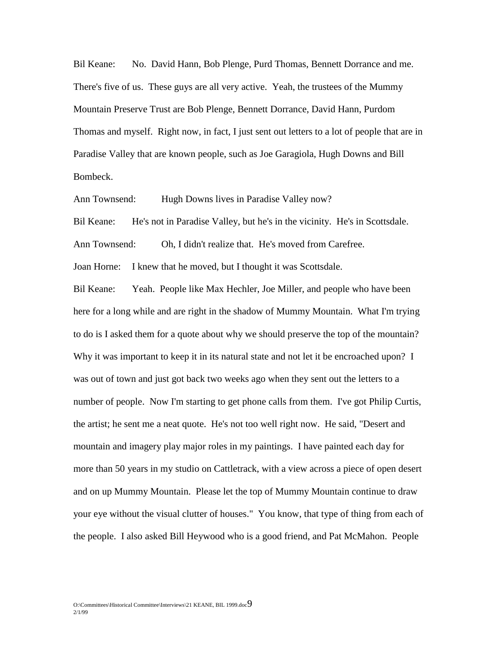Bil Keane: No. David Hann, Bob Plenge, Purd Thomas, Bennett Dorrance and me. There's five of us. These guys are all very active. Yeah, the trustees of the Mummy Mountain Preserve Trust are Bob Plenge, Bennett Dorrance, David Hann, Purdom Thomas and myself. Right now, in fact, I just sent out letters to a lot of people that are in Paradise Valley that are known people, such as Joe Garagiola, Hugh Downs and Bill Bombeck.

Ann Townsend: Hugh Downs lives in Paradise Valley now?

Bil Keane: He's not in Paradise Valley, but he's in the vicinity. He's in Scottsdale. Ann Townsend: Oh, I didn't realize that. He's moved from Carefree.

Joan Horne: I knew that he moved, but I thought it was Scottsdale.

Bil Keane: Yeah. People like Max Hechler, Joe Miller, and people who have been here for a long while and are right in the shadow of Mummy Mountain. What I'm trying to do is I asked them for a quote about why we should preserve the top of the mountain? Why it was important to keep it in its natural state and not let it be encroached upon? I was out of town and just got back two weeks ago when they sent out the letters to a number of people. Now I'm starting to get phone calls from them. I've got Philip Curtis, the artist; he sent me a neat quote. He's not too well right now. He said, "Desert and mountain and imagery play major roles in my paintings. I have painted each day for more than 50 years in my studio on Cattletrack, with a view across a piece of open desert and on up Mummy Mountain. Please let the top of Mummy Mountain continue to draw your eye without the visual clutter of houses." You know, that type of thing from each of the people. I also asked Bill Heywood who is a good friend, and Pat McMahon. People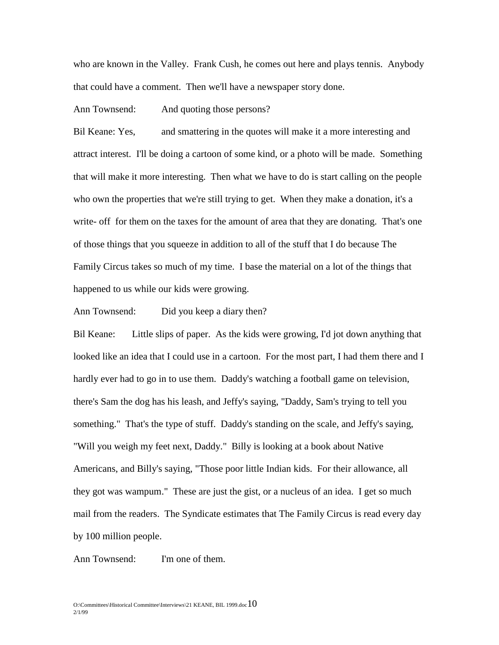who are known in the Valley. Frank Cush, he comes out here and plays tennis. Anybody that could have a comment. Then we'll have a newspaper story done.

Ann Townsend: And quoting those persons?

Bil Keane: Yes, and smattering in the quotes will make it a more interesting and attract interest. I'll be doing a cartoon of some kind, or a photo will be made. Something that will make it more interesting. Then what we have to do is start calling on the people who own the properties that we're still trying to get. When they make a donation, it's a write- off for them on the taxes for the amount of area that they are donating. That's one of those things that you squeeze in addition to all of the stuff that I do because The Family Circus takes so much of my time. I base the material on a lot of the things that happened to us while our kids were growing.

Ann Townsend: Did you keep a diary then?

Bil Keane: Little slips of paper. As the kids were growing, I'd jot down anything that looked like an idea that I could use in a cartoon. For the most part, I had them there and I hardly ever had to go in to use them. Daddy's watching a football game on television, there's Sam the dog has his leash, and Jeffy's saying, "Daddy, Sam's trying to tell you something." That's the type of stuff. Daddy's standing on the scale, and Jeffy's saying, "Will you weigh my feet next, Daddy." Billy is looking at a book about Native Americans, and Billy's saying, "Those poor little Indian kids. For their allowance, all they got was wampum." These are just the gist, or a nucleus of an idea. I get so much mail from the readers. The Syndicate estimates that The Family Circus is read every day by 100 million people.

Ann Townsend: I'm one of them.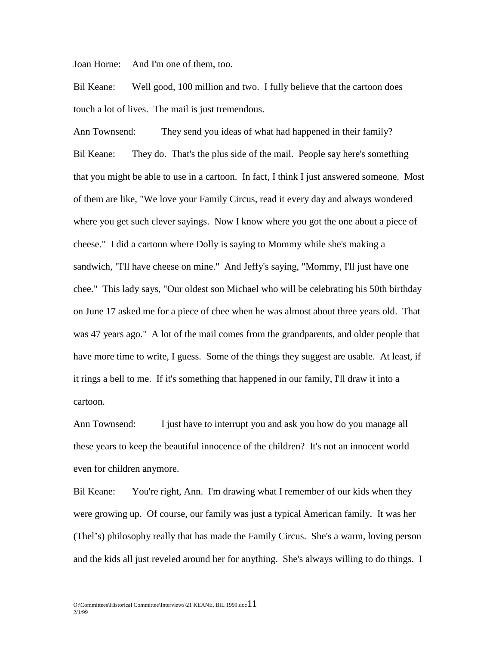Joan Horne: And I'm one of them, too.

Bil Keane: Well good, 100 million and two. I fully believe that the cartoon does touch a lot of lives. The mail is just tremendous.

Ann Townsend: They send you ideas of what had happened in their family? Bil Keane: They do. That's the plus side of the mail. People say here's something that you might be able to use in a cartoon. In fact, I think I just answered someone. Most of them are like, "We love your Family Circus, read it every day and always wondered where you get such clever sayings. Now I know where you got the one about a piece of cheese." I did a cartoon where Dolly is saying to Mommy while she's making a sandwich, "I'll have cheese on mine." And Jeffy's saying, "Mommy, I'll just have one chee." This lady says, "Our oldest son Michael who will be celebrating his 50th birthday on June 17 asked me for a piece of chee when he was almost about three years old. That was 47 years ago." A lot of the mail comes from the grandparents, and older people that have more time to write, I guess. Some of the things they suggest are usable. At least, if it rings a bell to me. If it's something that happened in our family, I'll draw it into a cartoon.

Ann Townsend: I just have to interrupt you and ask you how do you manage all these years to keep the beautiful innocence of the children? It's not an innocent world even for children anymore.

Bil Keane: You're right, Ann. I'm drawing what I remember of our kids when they were growing up. Of course, our family was just a typical American family. It was her (Thel's) philosophy really that has made the Family Circus. She's a warm, loving person and the kids all just reveled around her for anything. She's always willing to do things. I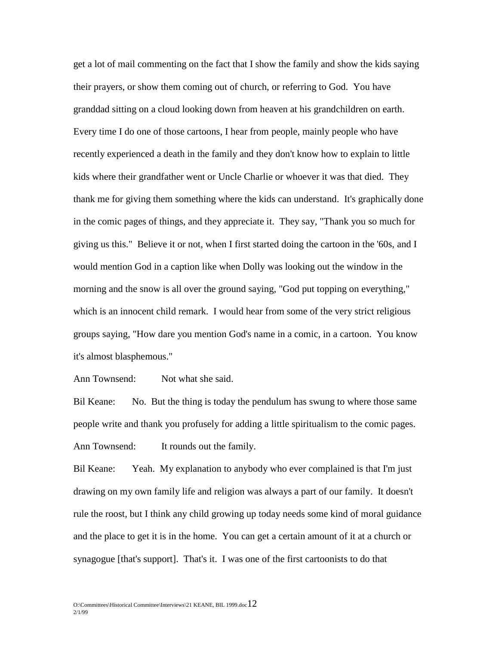get a lot of mail commenting on the fact that I show the family and show the kids saying their prayers, or show them coming out of church, or referring to God. You have granddad sitting on a cloud looking down from heaven at his grandchildren on earth. Every time I do one of those cartoons, I hear from people, mainly people who have recently experienced a death in the family and they don't know how to explain to little kids where their grandfather went or Uncle Charlie or whoever it was that died. They thank me for giving them something where the kids can understand. It's graphically done in the comic pages of things, and they appreciate it. They say, "Thank you so much for giving us this." Believe it or not, when I first started doing the cartoon in the '60s, and I would mention God in a caption like when Dolly was looking out the window in the morning and the snow is all over the ground saying, "God put topping on everything," which is an innocent child remark. I would hear from some of the very strict religious groups saying, "How dare you mention God's name in a comic, in a cartoon. You know it's almost blasphemous."

Ann Townsend: Not what she said.

Bil Keane: No. But the thing is today the pendulum has swung to where those same people write and thank you profusely for adding a little spiritualism to the comic pages. Ann Townsend: It rounds out the family.

Bil Keane: Yeah. My explanation to anybody who ever complained is that I'm just drawing on my own family life and religion was always a part of our family. It doesn't rule the roost, but I think any child growing up today needs some kind of moral guidance and the place to get it is in the home. You can get a certain amount of it at a church or synagogue [that's support]. That's it. I was one of the first cartoonists to do that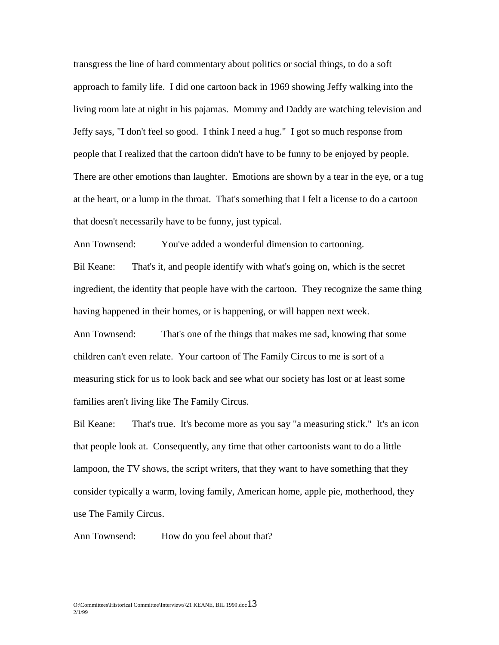transgress the line of hard commentary about politics or social things, to do a soft approach to family life. I did one cartoon back in 1969 showing Jeffy walking into the living room late at night in his pajamas. Mommy and Daddy are watching television and Jeffy says, "I don't feel so good. I think I need a hug." I got so much response from people that I realized that the cartoon didn't have to be funny to be enjoyed by people. There are other emotions than laughter. Emotions are shown by a tear in the eye, or a tug at the heart, or a lump in the throat. That's something that I felt a license to do a cartoon that doesn't necessarily have to be funny, just typical.

Ann Townsend: You've added a wonderful dimension to cartooning.

Bil Keane: That's it, and people identify with what's going on, which is the secret ingredient, the identity that people have with the cartoon. They recognize the same thing having happened in their homes, or is happening, or will happen next week.

Ann Townsend: That's one of the things that makes me sad, knowing that some children can't even relate. Your cartoon of The Family Circus to me is sort of a measuring stick for us to look back and see what our society has lost or at least some families aren't living like The Family Circus.

Bil Keane: That's true. It's become more as you say "a measuring stick." It's an icon that people look at. Consequently, any time that other cartoonists want to do a little lampoon, the TV shows, the script writers, that they want to have something that they consider typically a warm, loving family, American home, apple pie, motherhood, they use The Family Circus.

Ann Townsend: How do you feel about that?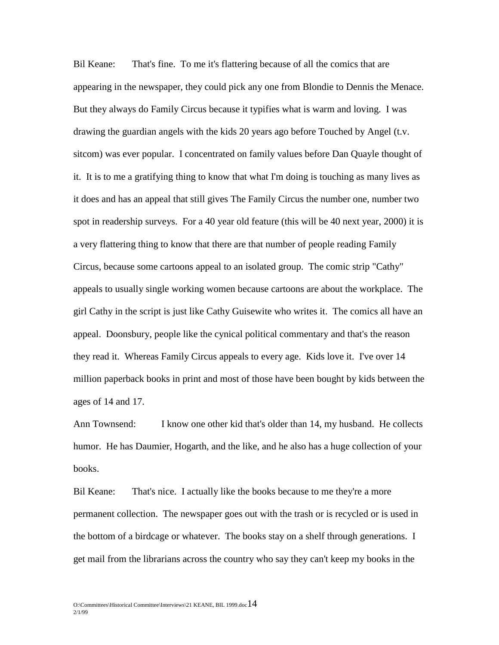Bil Keane: That's fine. To me it's flattering because of all the comics that are appearing in the newspaper, they could pick any one from Blondie to Dennis the Menace. But they always do Family Circus because it typifies what is warm and loving. I was drawing the guardian angels with the kids 20 years ago before Touched by Angel (t.v. sitcom) was ever popular. I concentrated on family values before Dan Quayle thought of it. It is to me a gratifying thing to know that what I'm doing is touching as many lives as it does and has an appeal that still gives The Family Circus the number one, number two spot in readership surveys. For a 40 year old feature (this will be 40 next year, 2000) it is a very flattering thing to know that there are that number of people reading Family Circus, because some cartoons appeal to an isolated group. The comic strip "Cathy" appeals to usually single working women because cartoons are about the workplace. The girl Cathy in the script is just like Cathy Guisewite who writes it. The comics all have an appeal. Doonsbury, people like the cynical political commentary and that's the reason they read it. Whereas Family Circus appeals to every age. Kids love it. I've over 14 million paperback books in print and most of those have been bought by kids between the ages of 14 and 17.

Ann Townsend: I know one other kid that's older than 14, my husband. He collects humor. He has Daumier, Hogarth, and the like, and he also has a huge collection of your books.

Bil Keane: That's nice. I actually like the books because to me they're a more permanent collection. The newspaper goes out with the trash or is recycled or is used in the bottom of a birdcage or whatever. The books stay on a shelf through generations. I get mail from the librarians across the country who say they can't keep my books in the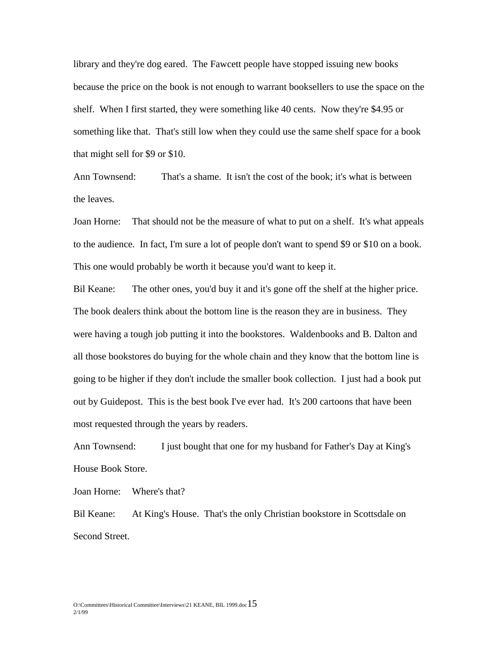library and they're dog eared. The Fawcett people have stopped issuing new books because the price on the book is not enough to warrant booksellers to use the space on the shelf. When I first started, they were something like 40 cents. Now they're \$4.95 or something like that. That's still low when they could use the same shelf space for a book that might sell for \$9 or \$10.

Ann Townsend: That's a shame. It isn't the cost of the book; it's what is between the leaves.

Joan Horne: That should not be the measure of what to put on a shelf. It's what appeals to the audience. In fact, I'm sure a lot of people don't want to spend \$9 or \$10 on a book. This one would probably be worth it because you'd want to keep it.

Bil Keane: The other ones, you'd buy it and it's gone off the shelf at the higher price. The book dealers think about the bottom line is the reason they are in business. They were having a tough job putting it into the bookstores. Waldenbooks and B. Dalton and all those bookstores do buying for the whole chain and they know that the bottom line is going to be higher if they don't include the smaller book collection. I just had a book put out by Guidepost. This is the best book I've ever had. It's 200 cartoons that have been most requested through the years by readers.

Ann Townsend: I just bought that one for my husband for Father's Day at King's House Book Store.

Joan Horne: Where's that?

Bil Keane: At King's House. That's the only Christian bookstore in Scottsdale on Second Street.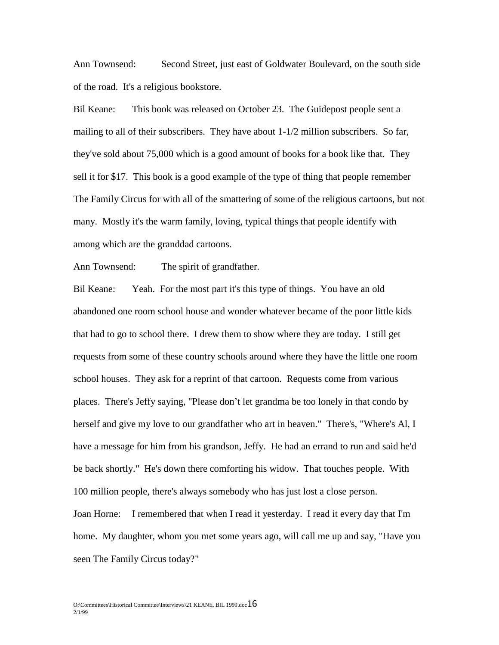Ann Townsend: Second Street, just east of Goldwater Boulevard, on the south side of the road. It's a religious bookstore.

Bil Keane: This book was released on October 23. The Guidepost people sent a mailing to all of their subscribers. They have about  $1-1/2$  million subscribers. So far, they've sold about 75,000 which is a good amount of books for a book like that. They sell it for \$17. This book is a good example of the type of thing that people remember The Family Circus for with all of the smattering of some of the religious cartoons, but not many. Mostly it's the warm family, loving, typical things that people identify with among which are the granddad cartoons.

Ann Townsend: The spirit of grandfather.

Bil Keane: Yeah. For the most part it's this type of things. You have an old abandoned one room school house and wonder whatever became of the poor little kids that had to go to school there. I drew them to show where they are today. I still get requests from some of these country schools around where they have the little one room school houses. They ask for a reprint of that cartoon. Requests come from various places. There's Jeffy saying, "Please don't let grandma be too lonely in that condo by herself and give my love to our grandfather who art in heaven." There's, "Where's Al, I have a message for him from his grandson, Jeffy. He had an errand to run and said he'd be back shortly." He's down there comforting his widow. That touches people. With 100 million people, there's always somebody who has just lost a close person. Joan Horne: I remembered that when I read it yesterday. I read it every day that I'm home. My daughter, whom you met some years ago, will call me up and say, "Have you seen The Family Circus today?"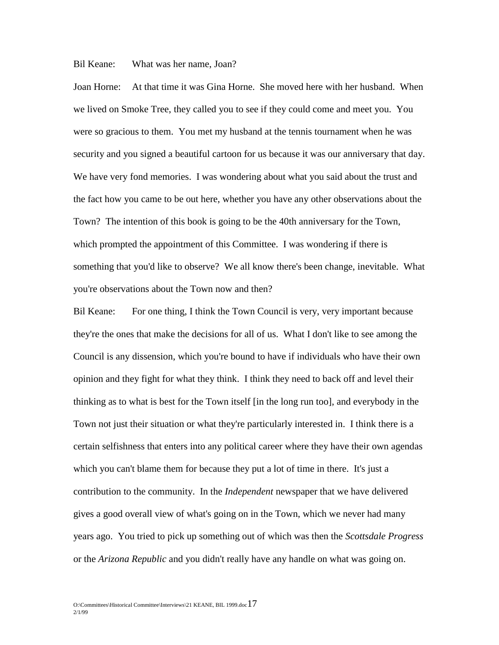## Bil Keane: What was her name, Joan?

Joan Horne: At that time it was Gina Horne. She moved here with her husband. When we lived on Smoke Tree, they called you to see if they could come and meet you. You were so gracious to them. You met my husband at the tennis tournament when he was security and you signed a beautiful cartoon for us because it was our anniversary that day. We have very fond memories. I was wondering about what you said about the trust and the fact how you came to be out here, whether you have any other observations about the Town? The intention of this book is going to be the 40th anniversary for the Town, which prompted the appointment of this Committee. I was wondering if there is something that you'd like to observe? We all know there's been change, inevitable. What you're observations about the Town now and then?

Bil Keane: For one thing, I think the Town Council is very, very important because they're the ones that make the decisions for all of us. What I don't like to see among the Council is any dissension, which you're bound to have if individuals who have their own opinion and they fight for what they think. I think they need to back off and level their thinking as to what is best for the Town itself [in the long run too], and everybody in the Town not just their situation or what they're particularly interested in. I think there is a certain selfishness that enters into any political career where they have their own agendas which you can't blame them for because they put a lot of time in there. It's just a contribution to the community. In the *Independent* newspaper that we have delivered gives a good overall view of what's going on in the Town, which we never had many years ago. You tried to pick up something out of which was then the *Scottsdale Progress* or the *Arizona Republic* and you didn't really have any handle on what was going on.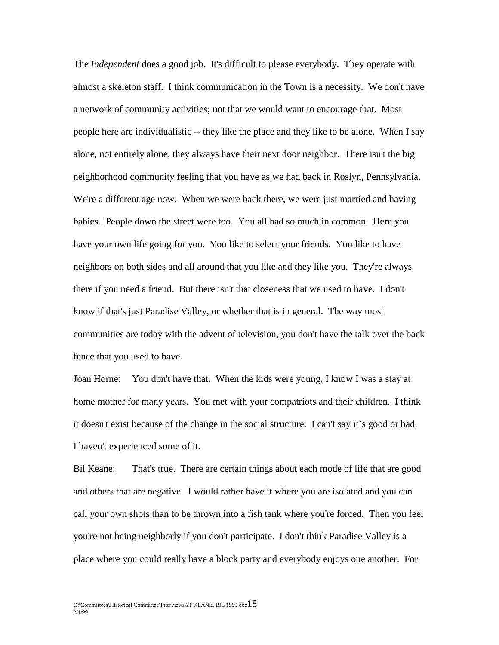The *Independent* does a good job. It's difficult to please everybody. They operate with almost a skeleton staff. I think communication in the Town is a necessity. We don't have a network of community activities; not that we would want to encourage that. Most people here are individualistic -- they like the place and they like to be alone. When I say alone, not entirely alone, they always have their next door neighbor. There isn't the big neighborhood community feeling that you have as we had back in Roslyn, Pennsylvania. We're a different age now. When we were back there, we were just married and having babies. People down the street were too. You all had so much in common. Here you have your own life going for you. You like to select your friends. You like to have neighbors on both sides and all around that you like and they like you. They're always there if you need a friend. But there isn't that closeness that we used to have. I don't know if that's just Paradise Valley, or whether that is in general. The way most communities are today with the advent of television, you don't have the talk over the back fence that you used to have.

Joan Horne: You don't have that. When the kids were young, I know I was a stay at home mother for many years. You met with your compatriots and their children. I think it doesn't exist because of the change in the social structure. I can't say it's good or bad. I haven't experienced some of it.

Bil Keane: That's true. There are certain things about each mode of life that are good and others that are negative. I would rather have it where you are isolated and you can call your own shots than to be thrown into a fish tank where you're forced. Then you feel you're not being neighborly if you don't participate. I don't think Paradise Valley is a place where you could really have a block party and everybody enjoys one another. For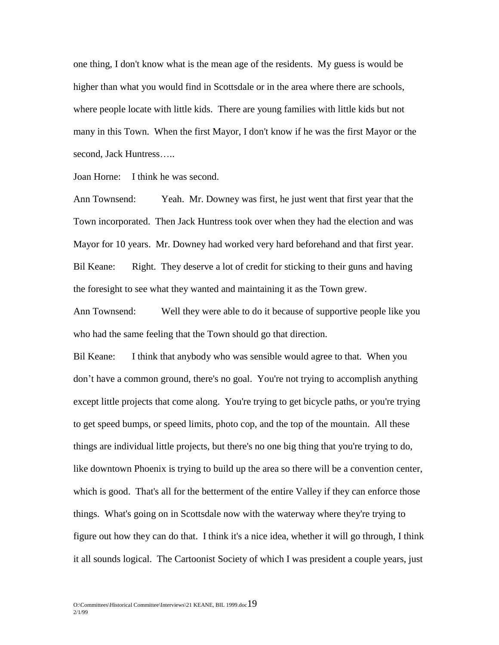one thing, I don't know what is the mean age of the residents. My guess is would be higher than what you would find in Scottsdale or in the area where there are schools, where people locate with little kids. There are young families with little kids but not many in this Town. When the first Mayor, I don't know if he was the first Mayor or the second, Jack Huntress…..

Joan Horne: I think he was second.

Ann Townsend: Yeah. Mr. Downey was first, he just went that first year that the Town incorporated. Then Jack Huntress took over when they had the election and was Mayor for 10 years. Mr. Downey had worked very hard beforehand and that first year. Bil Keane: Right. They deserve a lot of credit for sticking to their guns and having the foresight to see what they wanted and maintaining it as the Town grew.

Ann Townsend: Well they were able to do it because of supportive people like you who had the same feeling that the Town should go that direction.

Bil Keane: I think that anybody who was sensible would agree to that. When you don't have a common ground, there's no goal. You're not trying to accomplish anything except little projects that come along. You're trying to get bicycle paths, or you're trying to get speed bumps, or speed limits, photo cop, and the top of the mountain. All these things are individual little projects, but there's no one big thing that you're trying to do, like downtown Phoenix is trying to build up the area so there will be a convention center, which is good. That's all for the betterment of the entire Valley if they can enforce those things. What's going on in Scottsdale now with the waterway where they're trying to figure out how they can do that. I think it's a nice idea, whether it will go through, I think it all sounds logical. The Cartoonist Society of which I was president a couple years, just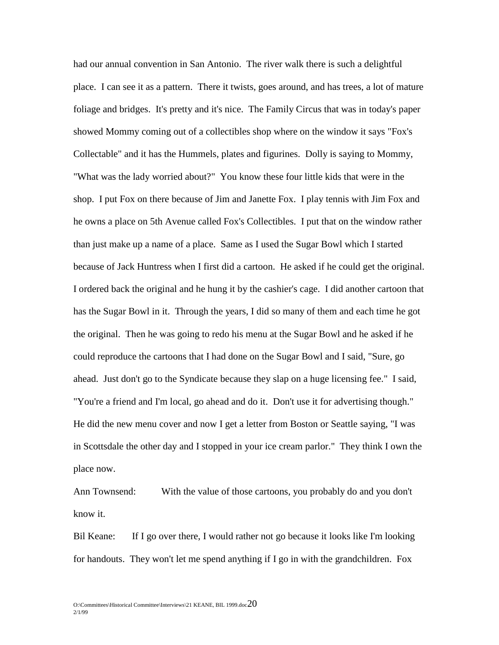had our annual convention in San Antonio. The river walk there is such a delightful place. I can see it as a pattern. There it twists, goes around, and has trees, a lot of mature foliage and bridges. It's pretty and it's nice. The Family Circus that was in today's paper showed Mommy coming out of a collectibles shop where on the window it says "Fox's Collectable" and it has the Hummels, plates and figurines. Dolly is saying to Mommy, "What was the lady worried about?" You know these four little kids that were in the shop. I put Fox on there because of Jim and Janette Fox. I play tennis with Jim Fox and he owns a place on 5th Avenue called Fox's Collectibles. I put that on the window rather than just make up a name of a place. Same as I used the Sugar Bowl which I started because of Jack Huntress when I first did a cartoon. He asked if he could get the original. I ordered back the original and he hung it by the cashier's cage. I did another cartoon that has the Sugar Bowl in it. Through the years, I did so many of them and each time he got the original. Then he was going to redo his menu at the Sugar Bowl and he asked if he could reproduce the cartoons that I had done on the Sugar Bowl and I said, "Sure, go ahead. Just don't go to the Syndicate because they slap on a huge licensing fee." I said, "You're a friend and I'm local, go ahead and do it. Don't use it for advertising though." He did the new menu cover and now I get a letter from Boston or Seattle saying, "I was in Scottsdale the other day and I stopped in your ice cream parlor." They think I own the place now.

Ann Townsend: With the value of those cartoons, you probably do and you don't know it.

Bil Keane: If I go over there, I would rather not go because it looks like I'm looking for handouts. They won't let me spend anything if I go in with the grandchildren. Fox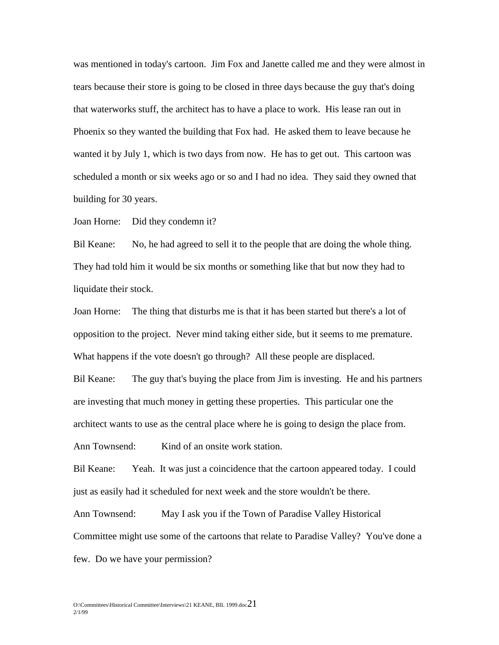was mentioned in today's cartoon. Jim Fox and Janette called me and they were almost in tears because their store is going to be closed in three days because the guy that's doing that waterworks stuff, the architect has to have a place to work. His lease ran out in Phoenix so they wanted the building that Fox had. He asked them to leave because he wanted it by July 1, which is two days from now. He has to get out. This cartoon was scheduled a month or six weeks ago or so and I had no idea. They said they owned that building for 30 years.

Joan Horne: Did they condemn it?

Bil Keane: No, he had agreed to sell it to the people that are doing the whole thing. They had told him it would be six months or something like that but now they had to liquidate their stock.

Joan Horne: The thing that disturbs me is that it has been started but there's a lot of opposition to the project. Never mind taking either side, but it seems to me premature. What happens if the vote doesn't go through? All these people are displaced.

Bil Keane: The guy that's buying the place from Jim is investing. He and his partners are investing that much money in getting these properties. This particular one the architect wants to use as the central place where he is going to design the place from.

Ann Townsend: Kind of an onsite work station.

Bil Keane: Yeah. It was just a coincidence that the cartoon appeared today. I could just as easily had it scheduled for next week and the store wouldn't be there.

Ann Townsend: May I ask you if the Town of Paradise Valley Historical Committee might use some of the cartoons that relate to Paradise Valley? You've done a few. Do we have your permission?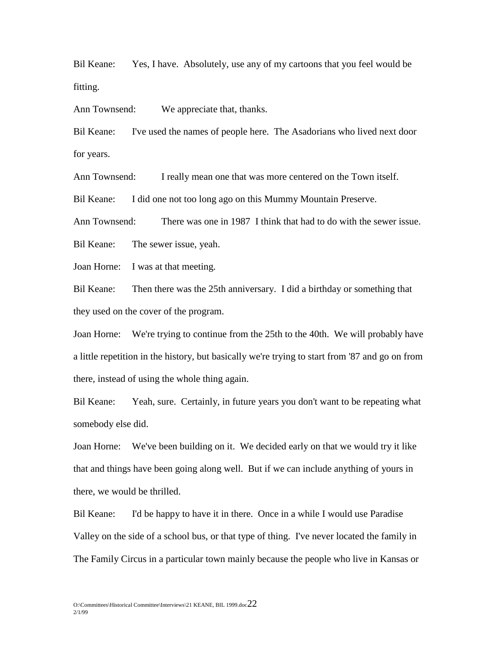Bil Keane: Yes, I have. Absolutely, use any of my cartoons that you feel would be fitting.

Ann Townsend: We appreciate that, thanks.

Bil Keane: I've used the names of people here. The Asadorians who lived next door for years.

Ann Townsend: I really mean one that was more centered on the Town itself.

Bil Keane: I did one not too long ago on this Mummy Mountain Preserve.

Ann Townsend: There was one in 1987 I think that had to do with the sewer issue.

Bil Keane: The sewer issue, yeah.

Joan Horne: I was at that meeting.

Bil Keane: Then there was the 25th anniversary. I did a birthday or something that they used on the cover of the program.

Joan Horne: We're trying to continue from the 25th to the 40th. We will probably have a little repetition in the history, but basically we're trying to start from '87 and go on from there, instead of using the whole thing again.

Bil Keane: Yeah, sure. Certainly, in future years you don't want to be repeating what somebody else did.

Joan Horne: We've been building on it. We decided early on that we would try it like that and things have been going along well. But if we can include anything of yours in there, we would be thrilled.

Bil Keane: I'd be happy to have it in there. Once in a while I would use Paradise Valley on the side of a school bus, or that type of thing. I've never located the family in The Family Circus in a particular town mainly because the people who live in Kansas or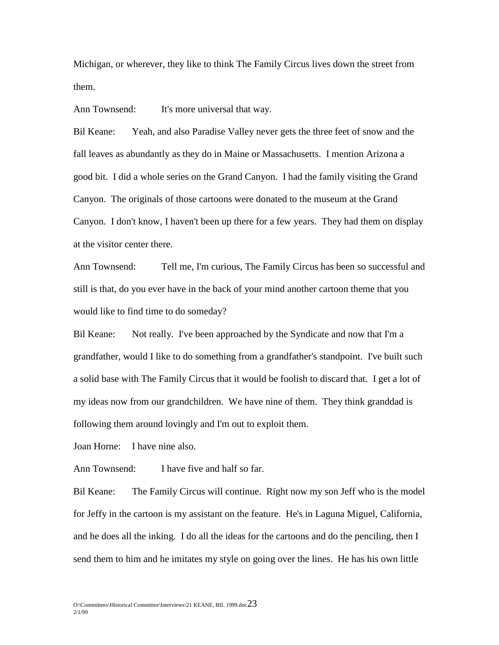Michigan, or wherever, they like to think The Family Circus lives down the street from them.

Ann Townsend: It's more universal that way.

Bil Keane: Yeah, and also Paradise Valley never gets the three feet of snow and the fall leaves as abundantly as they do in Maine or Massachusetts. I mention Arizona a good bit. I did a whole series on the Grand Canyon. I had the family visiting the Grand Canyon. The originals of those cartoons were donated to the museum at the Grand Canyon. I don't know, I haven't been up there for a few years. They had them on display at the visitor center there.

Ann Townsend: Tell me, I'm curious, The Family Circus has been so successful and still is that, do you ever have in the back of your mind another cartoon theme that you would like to find time to do someday?

Bil Keane: Not really. I've been approached by the Syndicate and now that I'm a grandfather, would I like to do something from a grandfather's standpoint. I've built such a solid base with The Family Circus that it would be foolish to discard that. I get a lot of my ideas now from our grandchildren. We have nine of them. They think granddad is following them around lovingly and I'm out to exploit them.

Joan Horne: I have nine also.

Ann Townsend: I have five and half so far.

Bil Keane: The Family Circus will continue. Right now my son Jeff who is the model for Jeffy in the cartoon is my assistant on the feature. He's in Laguna Miguel, California, and he does all the inking. I do all the ideas for the cartoons and do the penciling, then I send them to him and he imitates my style on going over the lines. He has his own little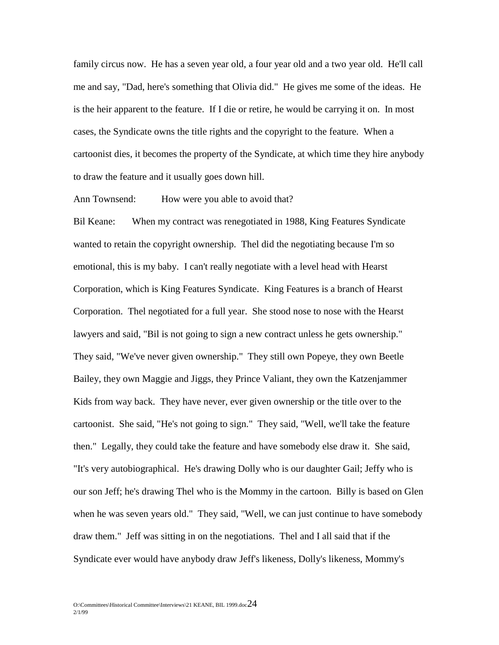family circus now. He has a seven year old, a four year old and a two year old. He'll call me and say, "Dad, here's something that Olivia did." He gives me some of the ideas. He is the heir apparent to the feature. If I die or retire, he would be carrying it on. In most cases, the Syndicate owns the title rights and the copyright to the feature. When a cartoonist dies, it becomes the property of the Syndicate, at which time they hire anybody to draw the feature and it usually goes down hill.

Ann Townsend: How were you able to avoid that?

Bil Keane: When my contract was renegotiated in 1988, King Features Syndicate wanted to retain the copyright ownership. Thel did the negotiating because I'm so emotional, this is my baby. I can't really negotiate with a level head with Hearst Corporation, which is King Features Syndicate. King Features is a branch of Hearst Corporation. Thel negotiated for a full year. She stood nose to nose with the Hearst lawyers and said, "Bil is not going to sign a new contract unless he gets ownership." They said, "We've never given ownership." They still own Popeye, they own Beetle Bailey, they own Maggie and Jiggs, they Prince Valiant, they own the Katzenjammer Kids from way back. They have never, ever given ownership or the title over to the cartoonist. She said, "He's not going to sign." They said, "Well, we'll take the feature then." Legally, they could take the feature and have somebody else draw it. She said, "It's very autobiographical. He's drawing Dolly who is our daughter Gail; Jeffy who is our son Jeff; he's drawing Thel who is the Mommy in the cartoon. Billy is based on Glen when he was seven years old." They said, "Well, we can just continue to have somebody draw them." Jeff was sitting in on the negotiations. Thel and I all said that if the Syndicate ever would have anybody draw Jeff's likeness, Dolly's likeness, Mommy's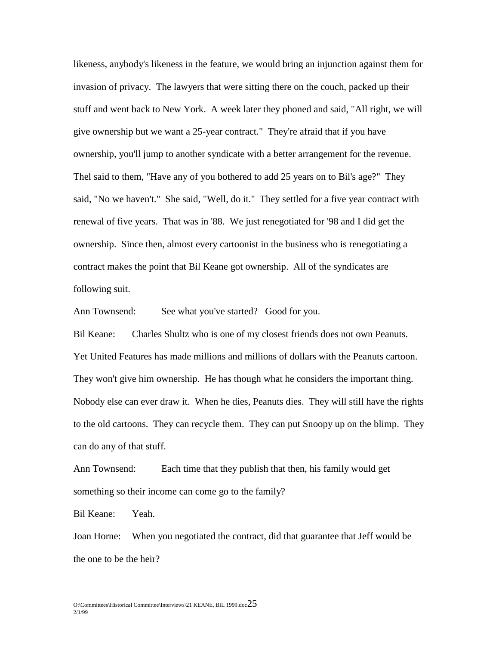likeness, anybody's likeness in the feature, we would bring an injunction against them for invasion of privacy. The lawyers that were sitting there on the couch, packed up their stuff and went back to New York. A week later they phoned and said, "All right, we will give ownership but we want a 25-year contract." They're afraid that if you have ownership, you'll jump to another syndicate with a better arrangement for the revenue. Thel said to them, "Have any of you bothered to add 25 years on to Bil's age?" They said, "No we haven't." She said, "Well, do it." They settled for a five year contract with renewal of five years. That was in '88. We just renegotiated for '98 and I did get the ownership. Since then, almost every cartoonist in the business who is renegotiating a contract makes the point that Bil Keane got ownership. All of the syndicates are following suit.

Ann Townsend: See what you've started? Good for you.

Bil Keane: Charles Shultz who is one of my closest friends does not own Peanuts. Yet United Features has made millions and millions of dollars with the Peanuts cartoon. They won't give him ownership. He has though what he considers the important thing. Nobody else can ever draw it. When he dies, Peanuts dies. They will still have the rights to the old cartoons. They can recycle them. They can put Snoopy up on the blimp. They can do any of that stuff.

Ann Townsend: Each time that they publish that then, his family would get something so their income can come go to the family?

Bil Keane: Yeah.

Joan Horne: When you negotiated the contract, did that guarantee that Jeff would be the one to be the heir?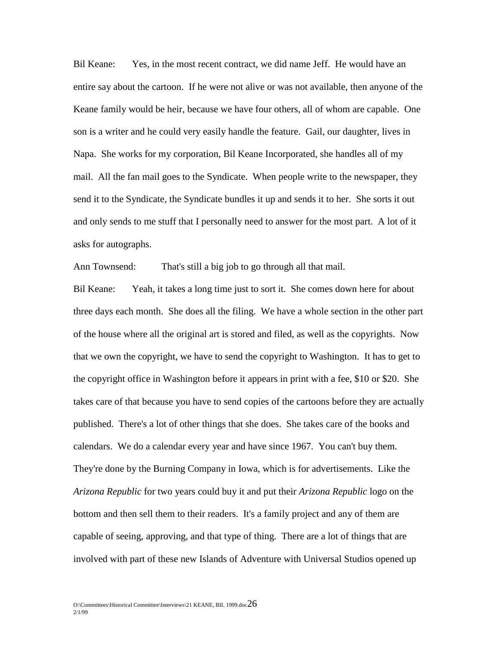Bil Keane: Yes, in the most recent contract, we did name Jeff. He would have an entire say about the cartoon. If he were not alive or was not available, then anyone of the Keane family would be heir, because we have four others, all of whom are capable. One son is a writer and he could very easily handle the feature. Gail, our daughter, lives in Napa. She works for my corporation, Bil Keane Incorporated, she handles all of my mail. All the fan mail goes to the Syndicate. When people write to the newspaper, they send it to the Syndicate, the Syndicate bundles it up and sends it to her. She sorts it out and only sends to me stuff that I personally need to answer for the most part. A lot of it asks for autographs.

Ann Townsend: That's still a big job to go through all that mail.

Bil Keane: Yeah, it takes a long time just to sort it. She comes down here for about three days each month. She does all the filing. We have a whole section in the other part of the house where all the original art is stored and filed, as well as the copyrights. Now that we own the copyright, we have to send the copyright to Washington. It has to get to the copyright office in Washington before it appears in print with a fee, \$10 or \$20. She takes care of that because you have to send copies of the cartoons before they are actually published. There's a lot of other things that she does. She takes care of the books and calendars. We do a calendar every year and have since 1967. You can't buy them. They're done by the Burning Company in Iowa, which is for advertisements. Like the *Arizona Republic* for two years could buy it and put their *Arizona Republic* logo on the bottom and then sell them to their readers. It's a family project and any of them are capable of seeing, approving, and that type of thing. There are a lot of things that are involved with part of these new Islands of Adventure with Universal Studios opened up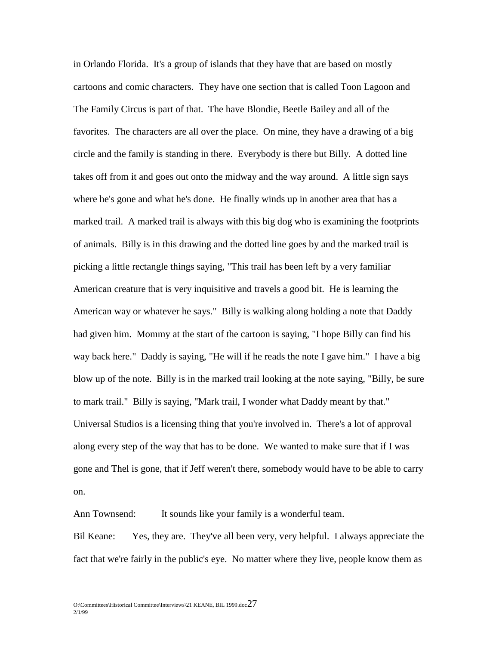in Orlando Florida. It's a group of islands that they have that are based on mostly cartoons and comic characters. They have one section that is called Toon Lagoon and The Family Circus is part of that. The have Blondie, Beetle Bailey and all of the favorites. The characters are all over the place. On mine, they have a drawing of a big circle and the family is standing in there. Everybody is there but Billy. A dotted line takes off from it and goes out onto the midway and the way around. A little sign says where he's gone and what he's done. He finally winds up in another area that has a marked trail. A marked trail is always with this big dog who is examining the footprints of animals. Billy is in this drawing and the dotted line goes by and the marked trail is picking a little rectangle things saying, "This trail has been left by a very familiar American creature that is very inquisitive and travels a good bit. He is learning the American way or whatever he says." Billy is walking along holding a note that Daddy had given him. Mommy at the start of the cartoon is saying, "I hope Billy can find his way back here." Daddy is saying, "He will if he reads the note I gave him." I have a big blow up of the note. Billy is in the marked trail looking at the note saying, "Billy, be sure to mark trail." Billy is saying, "Mark trail, I wonder what Daddy meant by that." Universal Studios is a licensing thing that you're involved in. There's a lot of approval along every step of the way that has to be done. We wanted to make sure that if I was gone and Thel is gone, that if Jeff weren't there, somebody would have to be able to carry on.

Ann Townsend: It sounds like your family is a wonderful team.

Bil Keane: Yes, they are. They've all been very, very helpful. I always appreciate the fact that we're fairly in the public's eye. No matter where they live, people know them as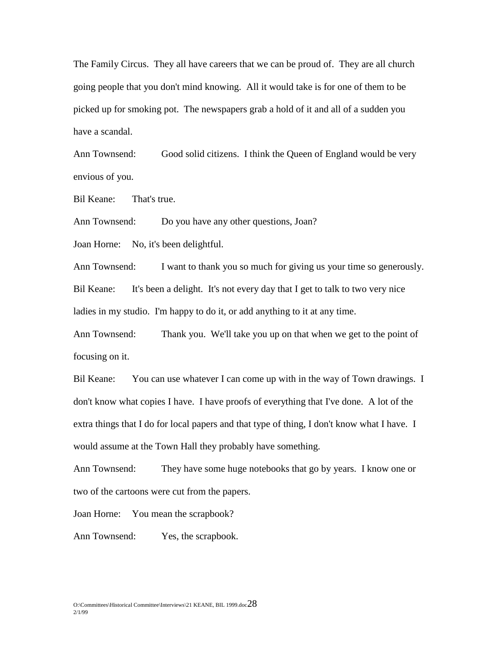The Family Circus. They all have careers that we can be proud of. They are all church going people that you don't mind knowing. All it would take is for one of them to be picked up for smoking pot. The newspapers grab a hold of it and all of a sudden you have a scandal.

Ann Townsend: Good solid citizens. I think the Queen of England would be very envious of you.

Bil Keane: That's true.

Ann Townsend: Do you have any other questions, Joan?

Joan Horne: No, it's been delightful.

Ann Townsend: I want to thank you so much for giving us your time so generously. Bil Keane: It's been a delight. It's not every day that I get to talk to two very nice ladies in my studio. I'm happy to do it, or add anything to it at any time.

Ann Townsend: Thank you. We'll take you up on that when we get to the point of focusing on it.

Bil Keane: You can use whatever I can come up with in the way of Town drawings. I don't know what copies I have. I have proofs of everything that I've done. A lot of the extra things that I do for local papers and that type of thing, I don't know what I have. I would assume at the Town Hall they probably have something.

Ann Townsend: They have some huge notebooks that go by years. I know one or two of the cartoons were cut from the papers.

Joan Horne: You mean the scrapbook?

Ann Townsend: Yes, the scrapbook.